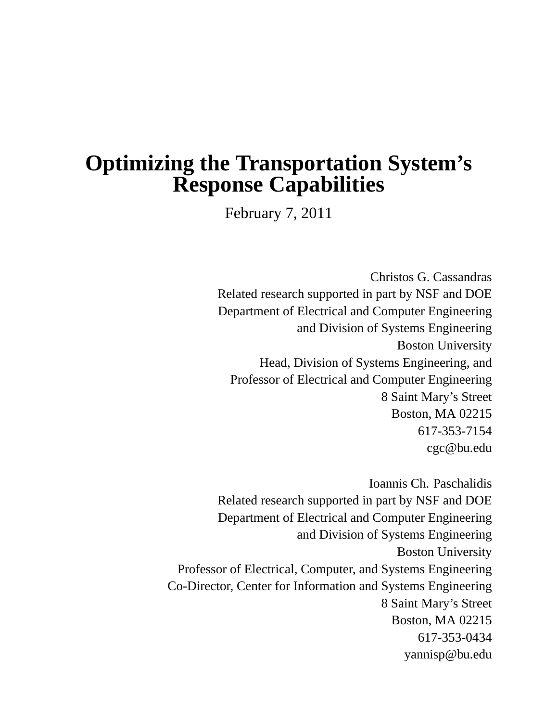# **Optimizing the Transportation System's Response Capabilities**

February 7, 2011

Christos G. Cassandras Related research supported in part by NSF and DOE Department of Electrical and Computer Engineering and Division of Systems Engineering Boston University Head, Division of Systems Engineering, and Professor of Electrical and Computer Engineering 8 Saint Mary's Street Boston, MA 02215 617-353-7154 cgc@bu.edu

Ioannis Ch. Paschalidis Related research supported in part by NSF and DOE Department of Electrical and Computer Engineering and Division of Systems Engineering Boston University Professor of Electrical, Computer, and Systems Engineering Co-Director, Center for Information and Systems Engineering 8 Saint Mary's Street Boston, MA 02215 617-353-0434 yannisp@bu.edu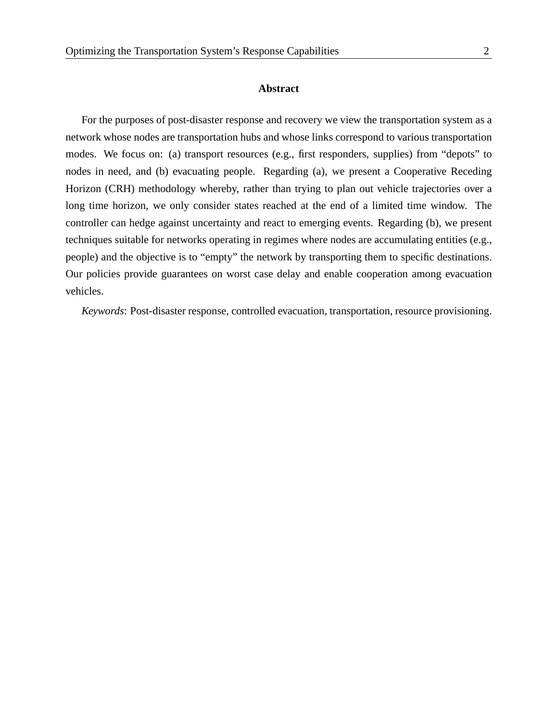#### **Abstract**

For the purposes of post-disaster response and recovery we view the transportation system as a network whose nodes are transportation hubs and whose links correspond to various transportation modes. We focus on: (a) transport resources (e.g., first responders, supplies) from "depots" to nodes in need, and (b) evacuating people. Regarding (a), we present a Cooperative Receding Horizon (CRH) methodology whereby, rather than trying to plan out vehicle trajectories over a long time horizon, we only consider states reached at the end of a limited time window. The controller can hedge against uncertainty and react to emerging events. Regarding (b), we present techniques suitable for networks operating in regimes where nodes are accumulating entities (e.g., people) and the objective is to "empty" the network by transporting them to specific destinations. Our policies provide guarantees on worst case delay and enable cooperation among evacuation vehicles.

*Keywords*: Post-disaster response, controlled evacuation, transportation, resource provisioning.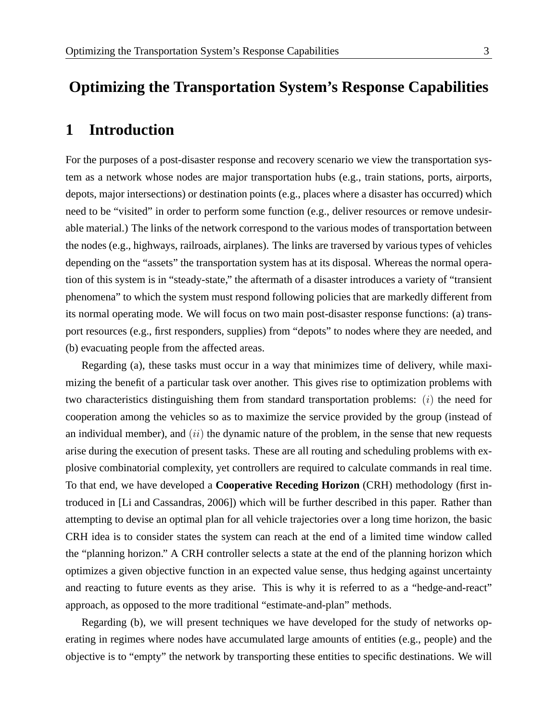## **Optimizing the Transportation System's Response Capabilities**

#### **1 Introduction**

For the purposes of a post-disaster response and recovery scenario we view the transportation system as a network whose nodes are major transportation hubs (e.g., train stations, ports, airports, depots, major intersections) or destination points (e.g., places where a disaster has occurred) which need to be "visited" in order to perform some function (e.g., deliver resources or remove undesirable material.) The links of the network correspond to the various modes of transportation between the nodes (e.g., highways, railroads, airplanes). The links are traversed by various types of vehicles depending on the "assets" the transportation system has at its disposal. Whereas the normal operation of this system is in "steady-state," the aftermath of a disaster introduces a variety of "transient phenomena" to which the system must respond following policies that are markedly different from its normal operating mode. We will focus on two main post-disaster response functions: (a) transport resources (e.g., first responders, supplies) from "depots" to nodes where they are needed, and (b) evacuating people from the affected areas.

Regarding (a), these tasks must occur in a way that minimizes time of delivery, while maximizing the benefit of a particular task over another. This gives rise to optimization problems with two characteristics distinguishing them from standard transportation problems:  $(i)$  the need for cooperation among the vehicles so as to maximize the service provided by the group (instead of an individual member), and  $(ii)$  the dynamic nature of the problem, in the sense that new requests arise during the execution of present tasks. These are all routing and scheduling problems with explosive combinatorial complexity, yet controllers are required to calculate commands in real time. To that end, we have developed a **Cooperative Receding Horizon** (CRH) methodology (first introduced in [Li and Cassandras, 2006]) which will be further described in this paper. Rather than attempting to devise an optimal plan for all vehicle trajectories over a long time horizon, the basic CRH idea is to consider states the system can reach at the end of a limited time window called the "planning horizon." A CRH controller selects a state at the end of the planning horizon which optimizes a given objective function in an expected value sense, thus hedging against uncertainty and reacting to future events as they arise. This is why it is referred to as a "hedge-and-react" approach, as opposed to the more traditional "estimate-and-plan" methods.

Regarding (b), we will present techniques we have developed for the study of networks operating in regimes where nodes have accumulated large amounts of entities (e.g., people) and the objective is to "empty" the network by transporting these entities to specific destinations. We will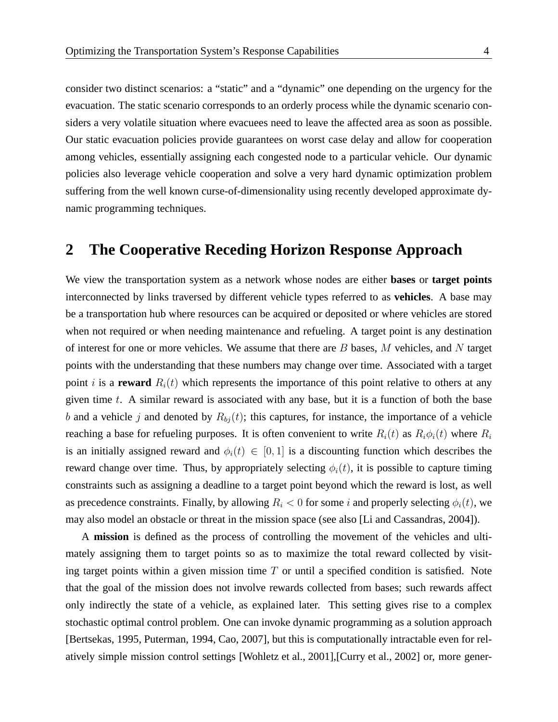consider two distinct scenarios: a "static" and a "dynamic" one depending on the urgency for the evacuation. The static scenario corresponds to an orderly process while the dynamic scenario considers a very volatile situation where evacuees need to leave the affected area as soon as possible. Our static evacuation policies provide guarantees on worst case delay and allow for cooperation among vehicles, essentially assigning each congested node to a particular vehicle. Our dynamic policies also leverage vehicle cooperation and solve a very hard dynamic optimization problem suffering from the well known curse-of-dimensionality using recently developed approximate dynamic programming techniques.

#### **2 The Cooperative Receding Horizon Response Approach**

We view the transportation system as a network whose nodes are either **bases** or **target points** interconnected by links traversed by different vehicle types referred to as **vehicles**. A base may be a transportation hub where resources can be acquired or deposited or where vehicles are stored when not required or when needing maintenance and refueling. A target point is any destination of interest for one or more vehicles. We assume that there are  $B$  bases,  $M$  vehicles, and  $N$  target points with the understanding that these numbers may change over time. Associated with a target point i is a **reward**  $R_i(t)$  which represents the importance of this point relative to others at any given time  $t$ . A similar reward is associated with any base, but it is a function of both the base b and a vehicle j and denoted by  $R_{bj}(t)$ ; this captures, for instance, the importance of a vehicle reaching a base for refueling purposes. It is often convenient to write  $R_i(t)$  as  $R_i\phi_i(t)$  where  $R_i$ is an initially assigned reward and  $\phi_i(t) \in [0,1]$  is a discounting function which describes the reward change over time. Thus, by appropriately selecting  $\phi_i(t)$ , it is possible to capture timing constraints such as assigning a deadline to a target point beyond which the reward is lost, as well as precedence constraints. Finally, by allowing  $R_i < 0$  for some i and properly selecting  $\phi_i(t)$ , we may also model an obstacle or threat in the mission space (see also [Li and Cassandras, 2004]).

A **mission** is defined as the process of controlling the movement of the vehicles and ultimately assigning them to target points so as to maximize the total reward collected by visiting target points within a given mission time  $T$  or until a specified condition is satisfied. Note that the goal of the mission does not involve rewards collected from bases; such rewards affect only indirectly the state of a vehicle, as explained later. This setting gives rise to a complex stochastic optimal control problem. One can invoke dynamic programming as a solution approach [Bertsekas, 1995, Puterman, 1994, Cao, 2007], but this is computationally intractable even for relatively simple mission control settings [Wohletz et al., 2001],[Curry et al., 2002] or, more gener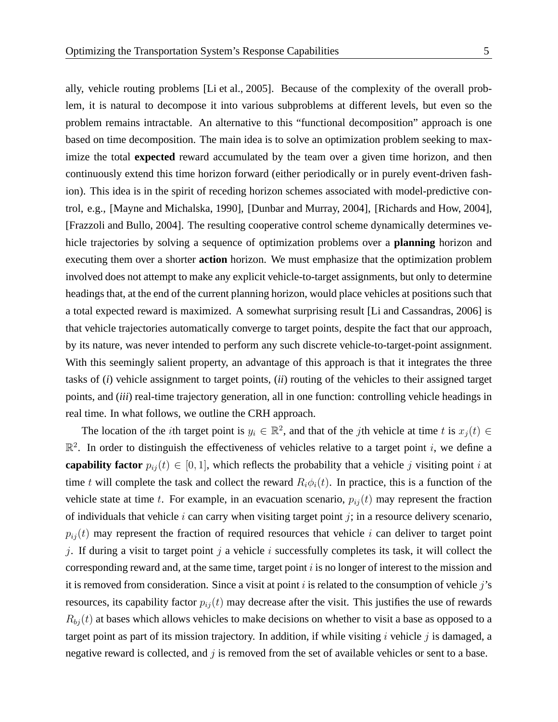ally, vehicle routing problems [Li et al., 2005]. Because of the complexity of the overall problem, it is natural to decompose it into various subproblems at different levels, but even so the problem remains intractable. An alternative to this "functional decomposition" approach is one based on time decomposition. The main idea is to solve an optimization problem seeking to maximize the total **expected** reward accumulated by the team over a given time horizon, and then continuously extend this time horizon forward (either periodically or in purely event-driven fashion). This idea is in the spirit of receding horizon schemes associated with model-predictive control, e.g., [Mayne and Michalska, 1990], [Dunbar and Murray, 2004], [Richards and How, 2004], [Frazzoli and Bullo, 2004]. The resulting cooperative control scheme dynamically determines vehicle trajectories by solving a sequence of optimization problems over a **planning** horizon and executing them over a shorter **action** horizon. We must emphasize that the optimization problem involved does not attempt to make any explicit vehicle-to-target assignments, but only to determine headings that, at the end of the current planning horizon, would place vehicles at positions such that a total expected reward is maximized. A somewhat surprising result [Li and Cassandras, 2006] is that vehicle trajectories automatically converge to target points, despite the fact that our approach, by its nature, was never intended to perform any such discrete vehicle-to-target-point assignment. With this seemingly salient property, an advantage of this approach is that it integrates the three tasks of (*i*) vehicle assignment to target points, (*ii*) routing of the vehicles to their assigned target points, and (*iii*) real-time trajectory generation, all in one function: controlling vehicle headings in real time. In what follows, we outline the CRH approach.

The location of the *i*th target point is  $y_i \in \mathbb{R}^2$ , and that of the *j*th vehicle at time t is  $x_j(t) \in$  $\mathbb{R}^2$ . In order to distinguish the effectiveness of vehicles relative to a target point i, we define a **capability factor**  $p_{ij}(t) \in [0, 1]$ , which reflects the probability that a vehicle j visiting point i at time t will complete the task and collect the reward  $R_i\phi_i(t)$ . In practice, this is a function of the vehicle state at time t. For example, in an evacuation scenario,  $p_{ij}(t)$  may represent the fraction of individuals that vehicle i can carry when visiting target point  $j$ ; in a resource delivery scenario,  $p_{ij}(t)$  may represent the fraction of required resources that vehicle i can deliver to target point j. If during a visit to target point j a vehicle  $i$  successfully completes its task, it will collect the corresponding reward and, at the same time, target point  $i$  is no longer of interest to the mission and it is removed from consideration. Since a visit at point  $i$  is related to the consumption of vehicle  $j$ 's resources, its capability factor  $p_{ij}(t)$  may decrease after the visit. This justifies the use of rewards  $R_{bj}(t)$  at bases which allows vehicles to make decisions on whether to visit a base as opposed to a target point as part of its mission trajectory. In addition, if while visiting  $i$  vehicle  $j$  is damaged, a negative reward is collected, and  $j$  is removed from the set of available vehicles or sent to a base.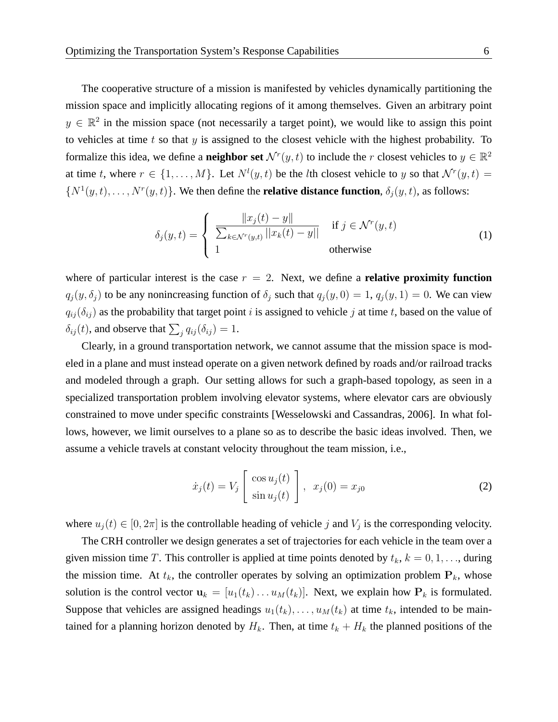The cooperative structure of a mission is manifested by vehicles dynamically partitioning the mission space and implicitly allocating regions of it among themselves. Given an arbitrary point  $y \in \mathbb{R}^2$  in the mission space (not necessarily a target point), we would like to assign this point to vehicles at time  $t$  so that  $y$  is assigned to the closest vehicle with the highest probability. To formalize this idea, we define a **neighbor set**  $\mathcal{N}^r(y, t)$  to include the r closest vehicles to  $y \in \mathbb{R}^2$ at time t, where  $r \in \{1, \ldots, M\}$ . Let  $N^{l}(y, t)$  be the lth closest vehicle to y so that  $\mathcal{N}^{r}(y, t) =$  $\{N^1(y,t), \ldots, N^r(y,t)\}\.$  We then define the **relative distance function**,  $\delta_j(y,t)$ , as follows:

$$
\delta_j(y,t) = \begin{cases}\n\frac{\|x_j(t) - y\|}{\sum_{k \in \mathcal{N}^r(y,t)} ||x_k(t) - y||} & \text{if } j \in \mathcal{N}^r(y,t) \\
1 & \text{otherwise}\n\end{cases}
$$
\n(1)

where of particular interest is the case  $r = 2$ . Next, we define a **relative proximity function**  $q_j(y, \delta_j)$  to be any nonincreasing function of  $\delta_j$  such that  $q_j(y, 0) = 1$ ,  $q_j(y, 1) = 0$ . We can view  $q_{ij}(\delta_{ij})$  as the probability that target point i is assigned to vehicle j at time t, based on the value of  $\delta_{ij}(t)$ , and observe that  $\sum_j q_{ij}(\delta_{ij}) = 1$ .

Clearly, in a ground transportation network, we cannot assume that the mission space is modeled in a plane and must instead operate on a given network defined by roads and/or railroad tracks and modeled through a graph. Our setting allows for such a graph-based topology, as seen in a specialized transportation problem involving elevator systems, where elevator cars are obviously constrained to move under specific constraints [Wesselowski and Cassandras, 2006]. In what follows, however, we limit ourselves to a plane so as to describe the basic ideas involved. Then, we assume a vehicle travels at constant velocity throughout the team mission, i.e.,

$$
\dot{x}_j(t) = V_j \left[ \begin{array}{c} \cos u_j(t) \\ \sin u_j(t) \end{array} \right], \quad x_j(0) = x_{j0} \tag{2}
$$

where  $u_j(t) \in [0, 2\pi]$  is the controllable heading of vehicle j and  $V_j$  is the corresponding velocity.

The CRH controller we design generates a set of trajectories for each vehicle in the team over a given mission time T. This controller is applied at time points denoted by  $t_k$ ,  $k = 0, 1, \ldots$ , during the mission time. At  $t_k$ , the controller operates by solving an optimization problem  $\mathbf{P}_k$ , whose solution is the control vector  $\mathbf{u}_k = [u_1(t_k) \dots u_M(t_k)]$ . Next, we explain how  $\mathbf{P}_k$  is formulated. Suppose that vehicles are assigned headings  $u_1(t_k), \ldots, u_M(t_k)$  at time  $t_k$ , intended to be maintained for a planning horizon denoted by  $H_k$ . Then, at time  $t_k + H_k$  the planned positions of the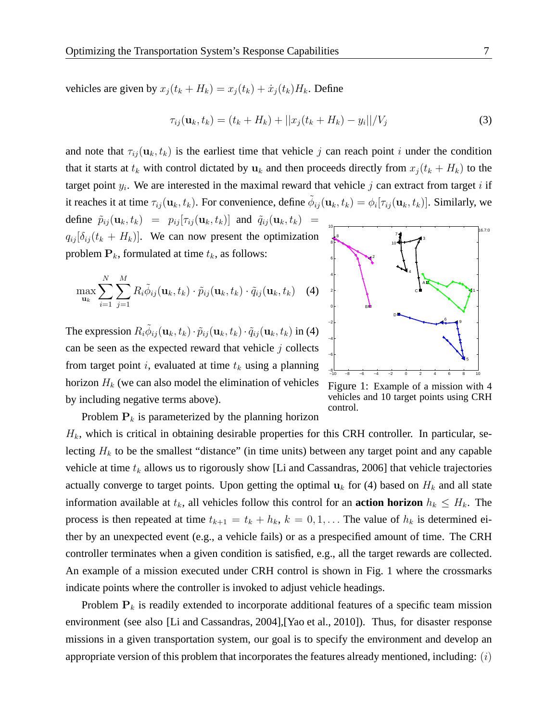vehicles are given by  $x_j(t_k + H_k) = x_j(t_k) + \dot{x}_j(t_k)H_k$ . Define

$$
\tau_{ij}(\mathbf{u}_k, t_k) = (t_k + H_k) + ||x_j(t_k + H_k) - y_i||/V_j
$$
\n(3)

and note that  $\tau_{ij}(\mathbf{u}_k, t_k)$  is the earliest time that vehicle j can reach point i under the condition that it starts at  $t_k$  with control dictated by  $u_k$  and then proceeds directly from  $x_j(t_k + H_k)$  to the target point  $y_i$ . We are interested in the maximal reward that vehicle  $j$  can extract from target  $i$  if it reaches it at time  $\tau_{ij}({\bf u}_k,t_k)$ . For convenience, define  $\tilde{\phi}_{ij}({\bf u}_k,t_k)=\phi_i[\tau_{ij}({\bf u}_k,t_k)]$ . Similarly, we 10 16.7:0 define  $\tilde{p}_{ij}(\mathbf{u}_k, t_k) = p_{ij} [\tau_{ij}(\mathbf{u}_k, t_k)]$  and  $\tilde{q}_{ij}(\mathbf{u}_k, t_k) =$ 

 $q_{ij} [\delta_{ij} (t_k + H_k)].$  We can now present the optimization problem  $P_k$ , formulated at time  $t_k$ , as follows:

$$
\max_{\mathbf{u}_k} \sum_{i=1}^N \sum_{j=1}^M R_i \tilde{\phi}_{ij}(\mathbf{u}_k, t_k) \cdot \tilde{p}_{ij}(\mathbf{u}_k, t_k) \cdot \tilde{q}_{ij}(\mathbf{u}_k, t_k)
$$
 (4)

The expression  $R_i \widetilde{\phi}_{ij}(\mathbf{u}_k, t_k) \cdot \widetilde{p}_{ij}(\mathbf{u}_k, t_k) \cdot \widetilde{q}_{ij}(\mathbf{u}_k, t_k)$  in (4) can be seen as the expected reward that vehicle  $j$  collects from target point i, evaluated at time  $t_k$  using a planning horizon  $H_k$  (we can also model the elimination of vehicles by including negative terms above).



Figure 1: Example of a mission with 4 vehicles and 10 target points using CRH control.

Problem  $P_k$  is parameterized by the planning horizon

 $H_k$ , which is critical in obtaining desirable properties for this CRH controller. In particular, selecting  $H_k$  to be the smallest "distance" (in time units) between any target point and any capable vehicle at time  $t_k$  allows us to rigorously show [Li and Cassandras, 2006] that vehicle trajectories actually converge to target points. Upon getting the optimal  $u_k$  for (4) based on  $H_k$  and all state information available at  $t_k$ , all vehicles follow this control for an **action horizon**  $h_k \leq H_k$ . The process is then repeated at time  $t_{k+1} = t_k + h_k$ ,  $k = 0, 1, \ldots$  The value of  $h_k$  is determined either by an unexpected event (e.g., a vehicle fails) or as a prespecified amount of time. The CRH controller terminates when a given condition is satisfied, e.g., all the target rewards are collected. An example of a mission executed under CRH control is shown in Fig. 1 where the crossmarks indicate points where the controller is invoked to adjust vehicle headings.

Problem  $P_k$  is readily extended to incorporate additional features of a specific team mission environment (see also [Li and Cassandras, 2004],[Yao et al., 2010]). Thus, for disaster response missions in a given transportation system, our goal is to specify the environment and develop an appropriate version of this problem that incorporates the features already mentioned, including:  $(i)$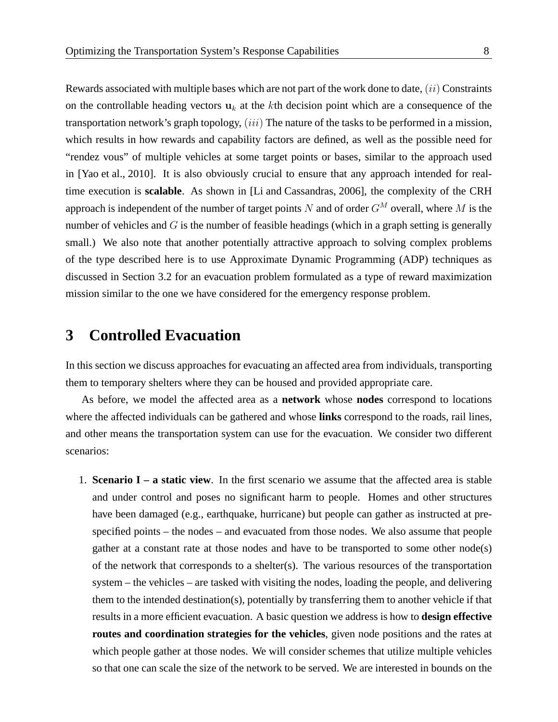Rewards associated with multiple bases which are not part of the work done to date,  $(ii)$  Constraints on the controllable heading vectors  $u_k$  at the kth decision point which are a consequence of the transportation network's graph topology,  $(iii)$  The nature of the tasks to be performed in a mission, which results in how rewards and capability factors are defined, as well as the possible need for "rendez vous" of multiple vehicles at some target points or bases, similar to the approach used in [Yao et al., 2010]. It is also obviously crucial to ensure that any approach intended for realtime execution is **scalable**. As shown in [Li and Cassandras, 2006], the complexity of the CRH approach is independent of the number of target points N and of order  $G^M$  overall, where M is the number of vehicles and  $G$  is the number of feasible headings (which in a graph setting is generally small.) We also note that another potentially attractive approach to solving complex problems of the type described here is to use Approximate Dynamic Programming (ADP) techniques as discussed in Section 3.2 for an evacuation problem formulated as a type of reward maximization mission similar to the one we have considered for the emergency response problem.

### **3 Controlled Evacuation**

In this section we discuss approaches for evacuating an affected area from individuals, transporting them to temporary shelters where they can be housed and provided appropriate care.

As before, we model the affected area as a **network** whose **nodes** correspond to locations where the affected individuals can be gathered and whose **links** correspond to the roads, rail lines, and other means the transportation system can use for the evacuation. We consider two different scenarios:

1. **Scenario I – a static view**. In the first scenario we assume that the affected area is stable and under control and poses no significant harm to people. Homes and other structures have been damaged (e.g., earthquake, hurricane) but people can gather as instructed at prespecified points – the nodes – and evacuated from those nodes. We also assume that people gather at a constant rate at those nodes and have to be transported to some other node(s) of the network that corresponds to a shelter(s). The various resources of the transportation system – the vehicles – are tasked with visiting the nodes, loading the people, and delivering them to the intended destination(s), potentially by transferring them to another vehicle if that results in a more efficient evacuation. A basic question we address is how to **design effective routes and coordination strategies for the vehicles**, given node positions and the rates at which people gather at those nodes. We will consider schemes that utilize multiple vehicles so that one can scale the size of the network to be served. We are interested in bounds on the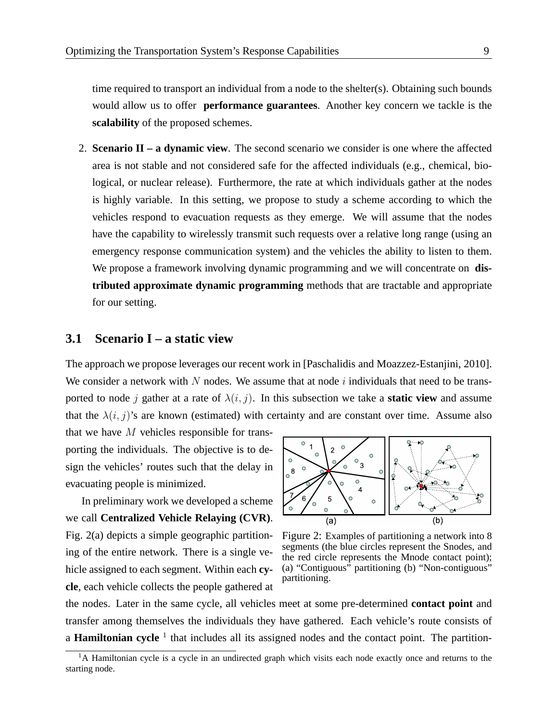time required to transport an individual from a node to the shelter(s). Obtaining such bounds would allow us to offer **performance guarantees**. Another key concern we tackle is the **scalability** of the proposed schemes.

2. **Scenario II – a dynamic view**. The second scenario we consider is one where the affected area is not stable and not considered safe for the affected individuals (e.g., chemical, biological, or nuclear release). Furthermore, the rate at which individuals gather at the nodes is highly variable. In this setting, we propose to study a scheme according to which the vehicles respond to evacuation requests as they emerge. We will assume that the nodes have the capability to wirelessly transmit such requests over a relative long range (using an emergency response communication system) and the vehicles the ability to listen to them. We propose a framework involving dynamic programming and we will concentrate on **distributed approximate dynamic programming** methods that are tractable and appropriate for our setting.

#### **3.1 Scenario I – a static view**

The approach we propose leverages our recent work in [Paschalidis and Moazzez-Estanjini, 2010]. We consider a network with N nodes. We assume that at node i individuals that need to be transported to node j gather at a rate of  $\lambda(i, j)$ . In this subsection we take a **static view** and assume that the  $\lambda(i, j)$ 's are known (estimated) with certainty and are constant over time. Assume also

that we have  $M$  vehicles responsible for transporting the individuals. The objective is to design the vehicles' routes such that the delay in evacuating people is minimized.

In preliminary work we developed a scheme we call **Centralized Vehicle Relaying (CVR)**. Fig. 2(a) depicts a simple geographic partitioning of the entire network. There is a single vehicle assigned to each segment. Within each **cycle**, each vehicle collects the people gathered at



Figure 2: Examples of partitioning a network into 8 segments (the blue circles represent the Snodes, and the red circle represents the Mnode contact point); (a) "Contiguous" partitioning (b) "Non-contiguous" partitioning.

the nodes. Later in the same cycle, all vehicles meet at some pre-determined **contact point** and transfer among themselves the individuals they have gathered. Each vehicle's route consists of a **Hamiltonian cycle** <sup>1</sup> that includes all its assigned nodes and the contact point. The partition-

<sup>&</sup>lt;sup>1</sup>A Hamiltonian cycle is a cycle in an undirected graph which visits each node exactly once and returns to the starting node.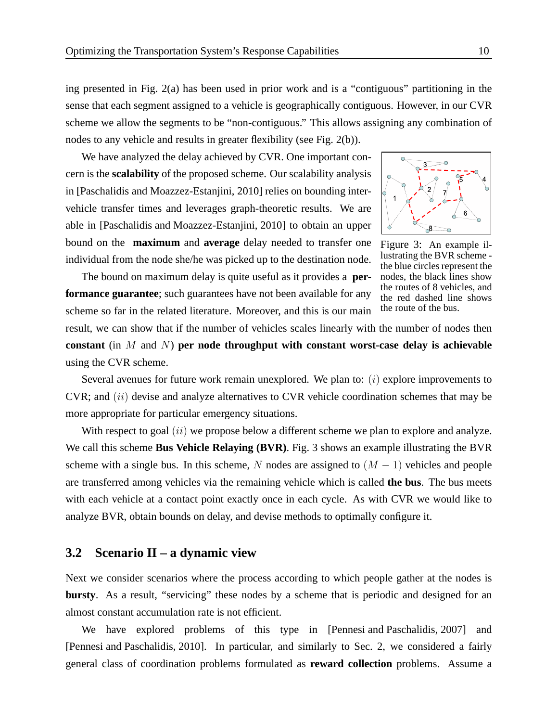ing presented in Fig. 2(a) has been used in prior work and is a "contiguous" partitioning in the sense that each segment assigned to a vehicle is geographically contiguous. However, in our CVR scheme we allow the segments to be "non-contiguous." This allows assigning any combination of nodes to any vehicle and results in greater flexibility (see Fig. 2(b)).

We have analyzed the delay achieved by CVR. One important concern is the **scalability** of the proposed scheme. Our scalability analysis in [Paschalidis and Moazzez-Estanjini, 2010] relies on bounding intervehicle transfer times and leverages graph-theoretic results. We are able in [Paschalidis and Moazzez-Estanjini, 2010] to obtain an upper bound on the **maximum** and **average** delay needed to transfer one individual from the node she/he was picked up to the destination node.

The bound on maximum delay is quite useful as it provides a **performance guarantee**; such guarantees have not been available for any scheme so far in the related literature. Moreover, and this is our main



Figure 3: An example illustrating the BVR scheme the blue circles represent the nodes, the black lines show the routes of 8 vehicles, and the red dashed line shows the route of the bus.

result, we can show that if the number of vehicles scales linearly with the number of nodes then **constant** (in M and N) **per node throughput with constant worst-case delay is achievable** using the CVR scheme.

Several avenues for future work remain unexplored. We plan to:  $(i)$  explore improvements to CVR; and (ii) devise and analyze alternatives to CVR vehicle coordination schemes that may be more appropriate for particular emergency situations.

With respect to goal  $(ii)$  we propose below a different scheme we plan to explore and analyze. We call this scheme **Bus Vehicle Relaying (BVR)**. Fig. 3 shows an example illustrating the BVR scheme with a single bus. In this scheme, N nodes are assigned to  $(M - 1)$  vehicles and people are transferred among vehicles via the remaining vehicle which is called **the bus**. The bus meets with each vehicle at a contact point exactly once in each cycle. As with CVR we would like to analyze BVR, obtain bounds on delay, and devise methods to optimally configure it.

#### **3.2 Scenario II – a dynamic view**

Next we consider scenarios where the process according to which people gather at the nodes is **bursty**. As a result, "servicing" these nodes by a scheme that is periodic and designed for an almost constant accumulation rate is not efficient.

We have explored problems of this type in [Pennesi and Paschalidis, 2007] and [Pennesi and Paschalidis, 2010]. In particular, and similarly to Sec. 2, we considered a fairly general class of coordination problems formulated as **reward collection** problems. Assume a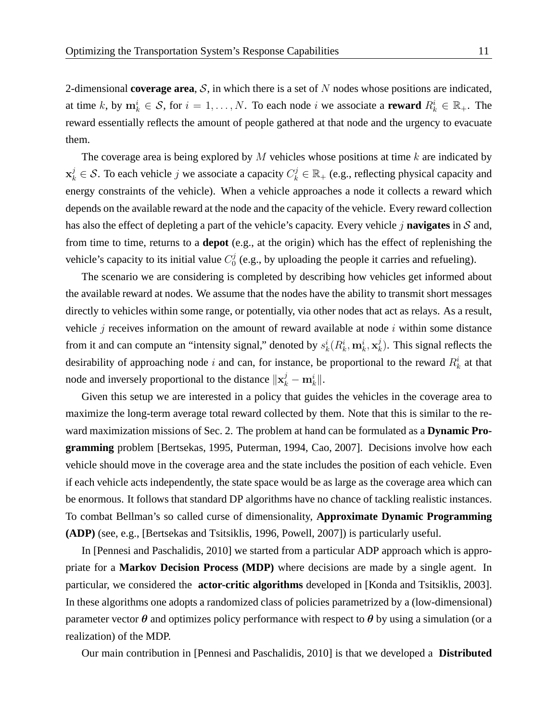2-dimensional **coverage area**,  $S$ , in which there is a set of  $N$  nodes whose positions are indicated, at time k, by  $m_k^i \in S$ , for  $i = 1, ..., N$ . To each node i we associate a **reward**  $R_k^i \in \mathbb{R}_+$ . The reward essentially reflects the amount of people gathered at that node and the urgency to evacuate them.

The coverage area is being explored by  $M$  vehicles whose positions at time  $k$  are indicated by  $x_k^j \in S$ . To each vehicle j we associate a capacity  $C_k^j \in \mathbb{R}_+$  (e.g., reflecting physical capacity and energy constraints of the vehicle). When a vehicle approaches a node it collects a reward which depends on the available reward at the node and the capacity of the vehicle. Every reward collection has also the effect of depleting a part of the vehicle's capacity. Every vehicle j **navigates** in S and, from time to time, returns to a **depot** (e.g., at the origin) which has the effect of replenishing the vehicle's capacity to its initial value  $C_0^j$  $\mathcal{O}_0^{\mathcal{O}}$  (e.g., by uploading the people it carries and refueling).

The scenario we are considering is completed by describing how vehicles get informed about the available reward at nodes. We assume that the nodes have the ability to transmit short messages directly to vehicles within some range, or potentially, via other nodes that act as relays. As a result, vehicle  $j$  receives information on the amount of reward available at node  $i$  within some distance from it and can compute an "intensity signal," denoted by  $s_k^i(R_k^i, m_k^i, x_k^j)$  $\binom{J}{k}$ . This signal reflects the desirability of approaching node i and can, for instance, be proportional to the reward  $R_k^i$  at that node and inversely proportional to the distance  $\|\mathbf{x}_{k}^{j} - \mathbf{m}_{k}^{i}\|$ .

Given this setup we are interested in a policy that guides the vehicles in the coverage area to maximize the long-term average total reward collected by them. Note that this is similar to the reward maximization missions of Sec. 2. The problem at hand can be formulated as a **Dynamic Programming** problem [Bertsekas, 1995, Puterman, 1994, Cao, 2007]. Decisions involve how each vehicle should move in the coverage area and the state includes the position of each vehicle. Even if each vehicle acts independently, the state space would be as large as the coverage area which can be enormous. It follows that standard DP algorithms have no chance of tackling realistic instances. To combat Bellman's so called curse of dimensionality, **Approximate Dynamic Programming (ADP)** (see, e.g., [Bertsekas and Tsitsiklis, 1996, Powell, 2007]) is particularly useful.

In [Pennesi and Paschalidis, 2010] we started from a particular ADP approach which is appropriate for a **Markov Decision Process (MDP)** where decisions are made by a single agent. In particular, we considered the **actor-critic algorithms** developed in [Konda and Tsitsiklis, 2003]. In these algorithms one adopts a randomized class of policies parametrized by a (low-dimensional) parameter vector  $\theta$  and optimizes policy performance with respect to  $\theta$  by using a simulation (or a realization) of the MDP.

Our main contribution in [Pennesi and Paschalidis, 2010] is that we developed a **Distributed**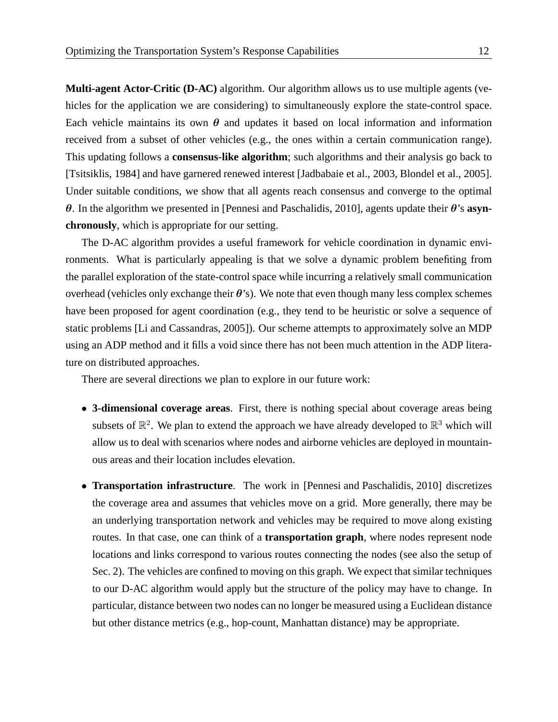**Multi-agent Actor-Critic (D-AC)** algorithm. Our algorithm allows us to use multiple agents (vehicles for the application we are considering) to simultaneously explore the state-control space. Each vehicle maintains its own  $\theta$  and updates it based on local information and information received from a subset of other vehicles (e.g., the ones within a certain communication range). This updating follows a **consensus-like algorithm**; such algorithms and their analysis go back to [Tsitsiklis, 1984] and have garnered renewed interest [Jadbabaie et al., 2003, Blondel et al., 2005]. Under suitable conditions, we show that all agents reach consensus and converge to the optimal θ. In the algorithm we presented in [Pennesi and Paschalidis, 2010], agents update their θ's **asynchronously**, which is appropriate for our setting.

The D-AC algorithm provides a useful framework for vehicle coordination in dynamic environments. What is particularly appealing is that we solve a dynamic problem benefiting from the parallel exploration of the state-control space while incurring a relatively small communication overhead (vehicles only exchange their  $\theta$ 's). We note that even though many less complex schemes have been proposed for agent coordination (e.g., they tend to be heuristic or solve a sequence of static problems [Li and Cassandras, 2005]). Our scheme attempts to approximately solve an MDP using an ADP method and it fills a void since there has not been much attention in the ADP literature on distributed approaches.

There are several directions we plan to explore in our future work:

- **3-dimensional coverage areas**. First, there is nothing special about coverage areas being subsets of  $\mathbb{R}^2$ . We plan to extend the approach we have already developed to  $\mathbb{R}^3$  which will allow us to deal with scenarios where nodes and airborne vehicles are deployed in mountainous areas and their location includes elevation.
- **Transportation infrastructure**. The work in [Pennesi and Paschalidis, 2010] discretizes the coverage area and assumes that vehicles move on a grid. More generally, there may be an underlying transportation network and vehicles may be required to move along existing routes. In that case, one can think of a **transportation graph**, where nodes represent node locations and links correspond to various routes connecting the nodes (see also the setup of Sec. 2). The vehicles are confined to moving on this graph. We expect that similar techniques to our D-AC algorithm would apply but the structure of the policy may have to change. In particular, distance between two nodes can no longer be measured using a Euclidean distance but other distance metrics (e.g., hop-count, Manhattan distance) may be appropriate.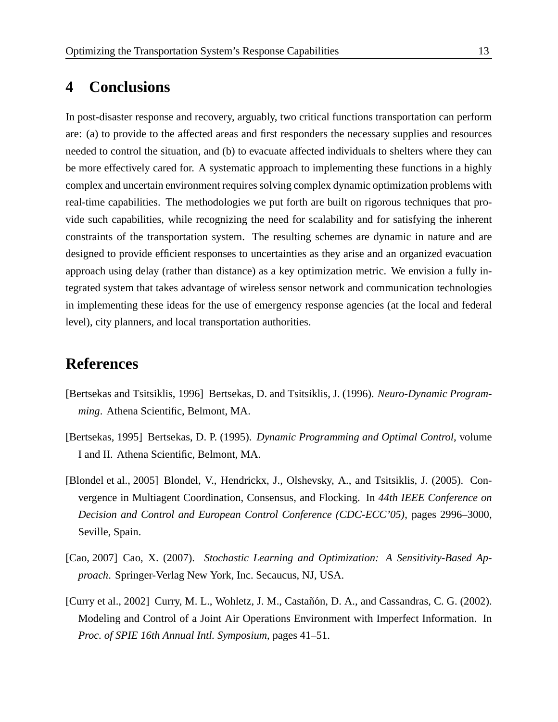# **4 Conclusions**

In post-disaster response and recovery, arguably, two critical functions transportation can perform are: (a) to provide to the affected areas and first responders the necessary supplies and resources needed to control the situation, and (b) to evacuate affected individuals to shelters where they can be more effectively cared for. A systematic approach to implementing these functions in a highly complex and uncertain environment requires solving complex dynamic optimization problems with real-time capabilities. The methodologies we put forth are built on rigorous techniques that provide such capabilities, while recognizing the need for scalability and for satisfying the inherent constraints of the transportation system. The resulting schemes are dynamic in nature and are designed to provide efficient responses to uncertainties as they arise and an organized evacuation approach using delay (rather than distance) as a key optimization metric. We envision a fully integrated system that takes advantage of wireless sensor network and communication technologies in implementing these ideas for the use of emergency response agencies (at the local and federal level), city planners, and local transportation authorities.

## **References**

- [Bertsekas and Tsitsiklis, 1996] Bertsekas, D. and Tsitsiklis, J. (1996). *Neuro-Dynamic Programming*. Athena Scientific, Belmont, MA.
- [Bertsekas, 1995] Bertsekas, D. P. (1995). *Dynamic Programming and Optimal Control*, volume I and II. Athena Scientific, Belmont, MA.
- [Blondel et al., 2005] Blondel, V., Hendrickx, J., Olshevsky, A., and Tsitsiklis, J. (2005). Convergence in Multiagent Coordination, Consensus, and Flocking. In *44th IEEE Conference on Decision and Control and European Control Conference (CDC-ECC'05)*, pages 2996–3000, Seville, Spain.
- [Cao, 2007] Cao, X. (2007). Stochastic Learning and Optimization: A Sensitivity-Based Ap*proach*. Springer-Verlag New York, Inc. Secaucus, NJ, USA.
- [Curry et al., 2002] Curry, M. L., Wohletz, J. M., Castañón, D. A., and Cassandras, C. G. (2002). Modeling and Control of a Joint Air Operations Environment with Imperfect Information. In *Proc. of SPIE 16th Annual Intl. Symposium*, pages 41–51.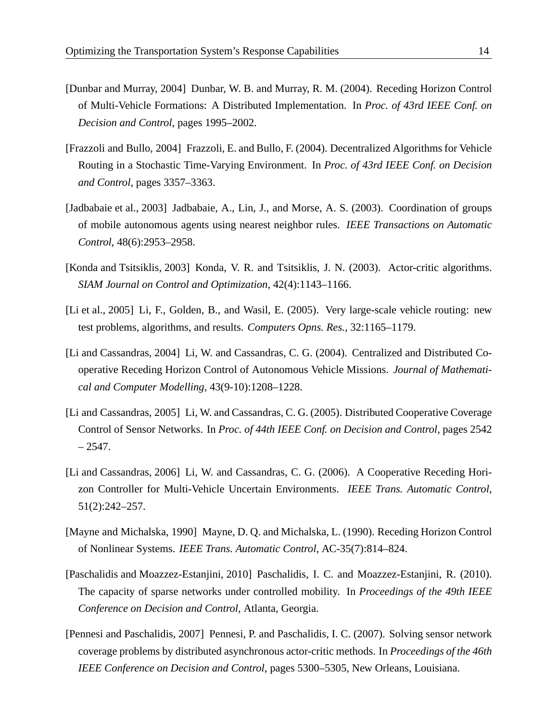- [Dunbar and Murray, 2004] Dunbar, W. B. and Murray, R. M. (2004). Receding Horizon Control of Multi-Vehicle Formations: A Distributed Implementation. In *Proc. of 43rd IEEE Conf. on Decision and Control*, pages 1995–2002.
- [Frazzoli and Bullo, 2004] Frazzoli, E. and Bullo, F. (2004). Decentralized Algorithms for Vehicle Routing in a Stochastic Time-Varying Environment. In *Proc. of 43rd IEEE Conf. on Decision and Control*, pages 3357–3363.
- [Jadbabaie et al., 2003] Jadbabaie, A., Lin, J., and Morse, A. S. (2003). Coordination of groups of mobile autonomous agents using nearest neighbor rules. *IEEE Transactions on Automatic Control*, 48(6):2953–2958.
- [Konda and Tsitsiklis, 2003] Konda, V. R. and Tsitsiklis, J. N. (2003). Actor-critic algorithms. *SIAM Journal on Control and Optimization*, 42(4):1143–1166.
- [Li et al., 2005] Li, F., Golden, B., and Wasil, E. (2005). Very large-scale vehicle routing: new test problems, algorithms, and results. *Computers Opns. Res.*, 32:1165–1179.
- [Li and Cassandras, 2004] Li, W. and Cassandras, C. G. (2004). Centralized and Distributed Cooperative Receding Horizon Control of Autonomous Vehicle Missions. *Journal of Mathematical and Computer Modelling*, 43(9-10):1208–1228.
- [Li and Cassandras, 2005] Li, W. and Cassandras, C. G. (2005). Distributed Cooperative Coverage Control of Sensor Networks. In *Proc. of 44th IEEE Conf. on Decision and Control*, pages 2542  $-2547.$
- [Li and Cassandras, 2006] Li, W. and Cassandras, C. G. (2006). A Cooperative Receding Horizon Controller for Multi-Vehicle Uncertain Environments. *IEEE Trans. Automatic Control*, 51(2):242–257.
- [Mayne and Michalska, 1990] Mayne, D. Q. and Michalska, L. (1990). Receding Horizon Control of Nonlinear Systems. *IEEE Trans. Automatic Control*, AC-35(7):814–824.
- [Paschalidis and Moazzez-Estanjini, 2010] Paschalidis, I. C. and Moazzez-Estanjini, R. (2010). The capacity of sparse networks under controlled mobility. In *Proceedings of the 49th IEEE Conference on Decision and Control*, Atlanta, Georgia.
- [Pennesi and Paschalidis, 2007] Pennesi, P. and Paschalidis, I. C. (2007). Solving sensor network coverage problems by distributed asynchronous actor-critic methods. In *Proceedings of the 46th IEEE Conference on Decision and Control*, pages 5300–5305, New Orleans, Louisiana.